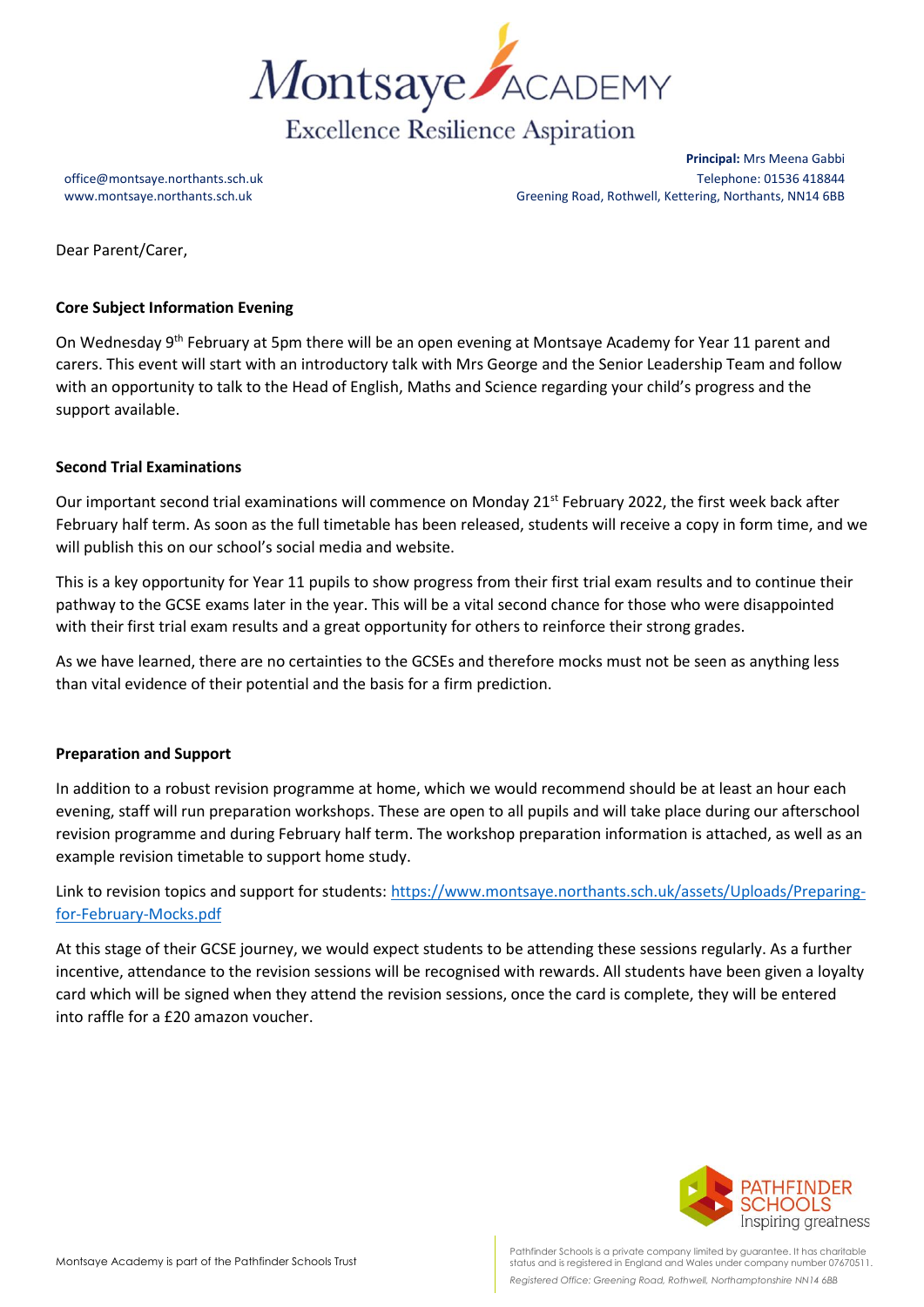

**Principal:** Mrs Meena Gabbi office@montsaye.northants.sch.uk Telephone: 01536 418844 www.montsaye.northants.sch.uk Greening Road, Rothwell, Kettering, Northants, NN14 6BB

Dear Parent/Carer,

# **Core Subject Information Evening**

On Wednesday 9<sup>th</sup> February at 5pm there will be an open evening at Montsaye Academy for Year 11 parent and carers. This event will start with an introductory talk with Mrs George and the Senior Leadership Team and follow with an opportunity to talk to the Head of English, Maths and Science regarding your child's progress and the support available.

# **Second Trial Examinations**

Our important second trial examinations will commence on Monday 21<sup>st</sup> February 2022, the first week back after February half term. As soon as the full timetable has been released, students will receive a copy in form time, and we will publish this on our school's social media and website.

This is a key opportunity for Year 11 pupils to show progress from their first trial exam results and to continue their pathway to the GCSE exams later in the year. This will be a vital second chance for those who were disappointed with their first trial exam results and a great opportunity for others to reinforce their strong grades.

As we have learned, there are no certainties to the GCSEs and therefore mocks must not be seen as anything less than vital evidence of their potential and the basis for a firm prediction.

### **Preparation and Support**

In addition to a robust revision programme at home, which we would recommend should be at least an hour each evening, staff will run preparation workshops. These are open to all pupils and will take place during our afterschool revision programme and during February half term. The workshop preparation information is attached, as well as an example revision timetable to support home study.

Link to revision topics and support for students: [https://www.montsaye.northants.sch.uk/assets/Uploads/Preparing](https://www.montsaye.northants.sch.uk/assets/Uploads/Preparing-for-February-Mocks.pdf)[for-February-Mocks.pdf](https://www.montsaye.northants.sch.uk/assets/Uploads/Preparing-for-February-Mocks.pdf)

At this stage of their GCSE journey, we would expect students to be attending these sessions regularly. As a further incentive, attendance to the revision sessions will be recognised with rewards. All students have been given a loyalty card which will be signed when they attend the revision sessions, once the card is complete, they will be entered into raffle for a £20 amazon voucher.



Pathfinder Schools is a private company limited by guarantee. It has charitable status and is registered in England and Wales under company number 07670511. *Registered Office: Greening Road, Rothwell, Northamptonshire NN14 6BB*